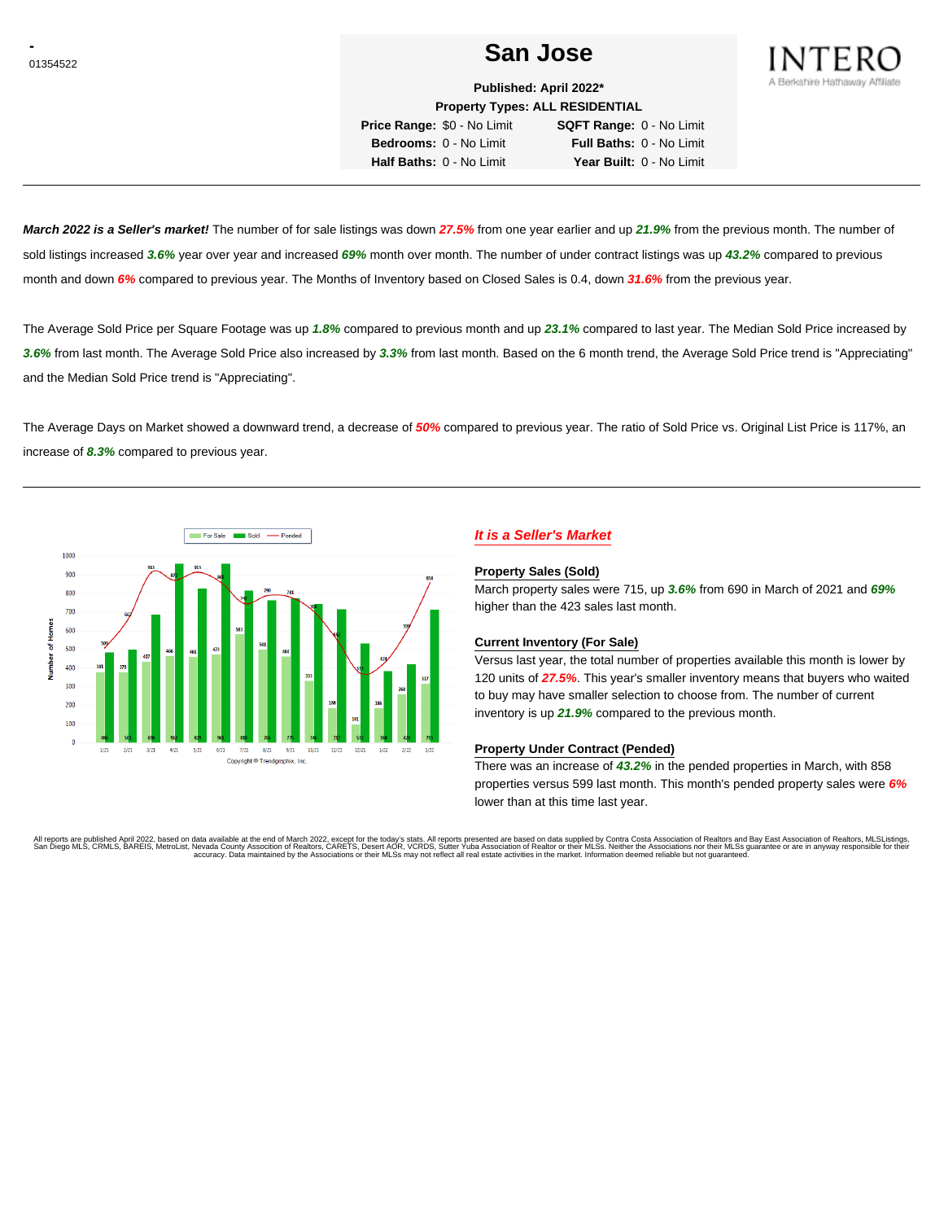# **CONSTRUCTER SAN JOSE** SAN JOSE



**Published: April 2022\* Property Types: ALL RESIDENTIAL**

**Price Range:** \$0 - No Limit **SQFT Range:** 0 - No Limit **Bedrooms:** 0 - No Limit **Full Baths:** 0 - No Limit **Half Baths:** 0 - No Limit **Year Built:** 0 - No Limit

**March 2022 is a Seller's market!** The number of for sale listings was down **27.5%** from one year earlier and up **21.9%** from the previous month. The number of sold listings increased **3.6%** year over year and increased **69%** month over month. The number of under contract listings was up **43.2%** compared to previous month and down **6%** compared to previous year. The Months of Inventory based on Closed Sales is 0.4, down **31.6%** from the previous year.

The Average Sold Price per Square Footage was up **1.8%** compared to previous month and up **23.1%** compared to last year. The Median Sold Price increased by **3.6%** from last month. The Average Sold Price also increased by **3.3%** from last month. Based on the 6 month trend, the Average Sold Price trend is "Appreciating" and the Median Sold Price trend is "Appreciating".

The Average Days on Market showed a downward trend, a decrease of **50%** compared to previous year. The ratio of Sold Price vs. Original List Price is 117%, an increase of **8.3%** compared to previous year.



# **It is a Seller's Market**

#### **Property Sales (Sold)**

March property sales were 715, up **3.6%** from 690 in March of 2021 and **69%** higher than the 423 sales last month.

### **Current Inventory (For Sale)**

Versus last year, the total number of properties available this month is lower by 120 units of **27.5%**. This year's smaller inventory means that buyers who waited to buy may have smaller selection to choose from. The number of current inventory is up **21.9%** compared to the previous month.

#### **Property Under Contract (Pended)**

There was an increase of **43.2%** in the pended properties in March, with 858 properties versus 599 last month. This month's pended property sales were **6%** lower than at this time last year.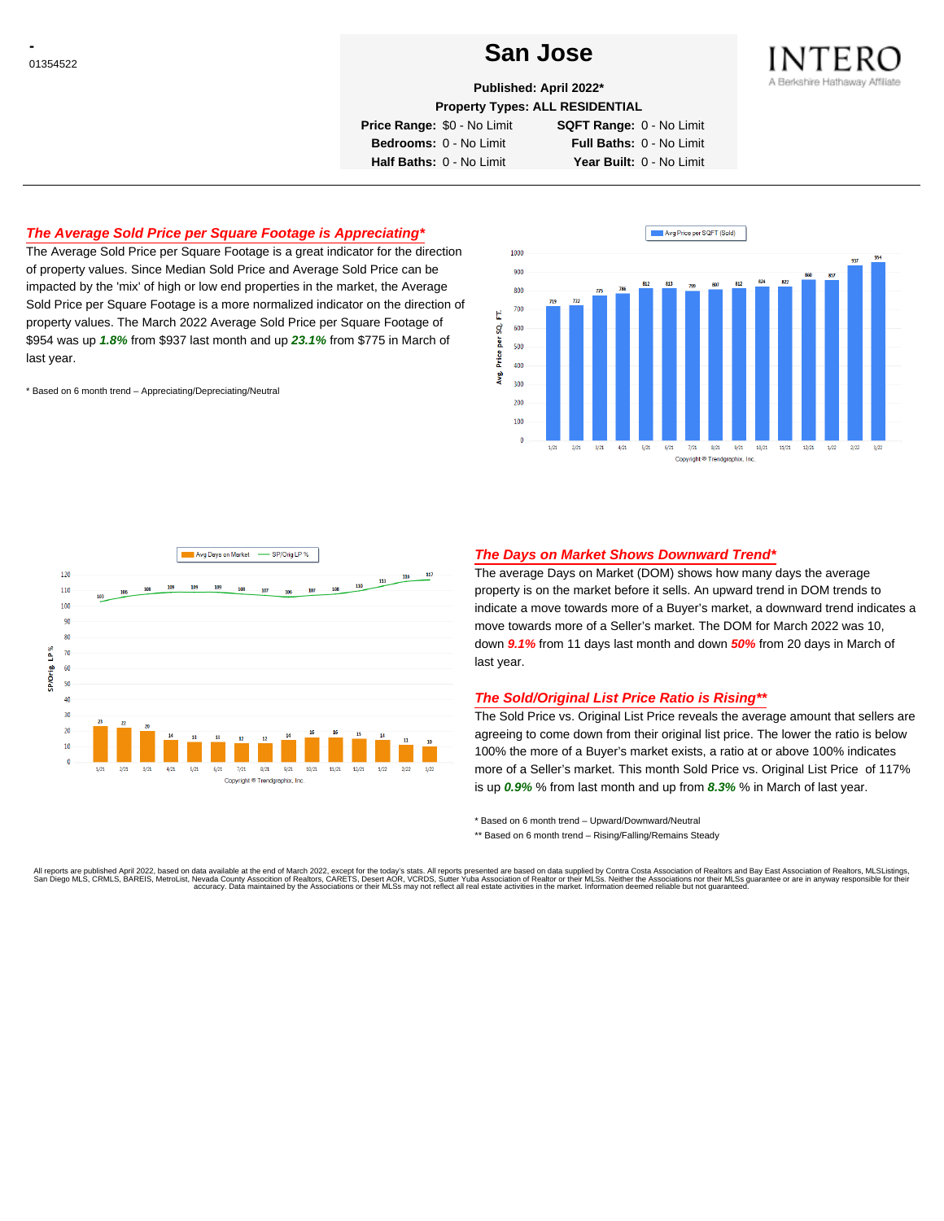# **CONSTRUCTER SAN JOSE**



**Published: April 2022\***

**Property Types: ALL RESIDENTIAL**

**Price Range:** \$0 - No Limit **SQFT Range:** 0 - No Limit

**Bedrooms:** 0 - No Limit **Full Baths:** 0 - No Limit **Half Baths:** 0 - No Limit **Year Built:** 0 - No Limit

## **The Average Sold Price per Square Footage is Appreciating\***

The Average Sold Price per Square Footage is a great indicator for the direction of property values. Since Median Sold Price and Average Sold Price can be impacted by the 'mix' of high or low end properties in the market, the Average Sold Price per Square Footage is a more normalized indicator on the direction of property values. The March 2022 Average Sold Price per Square Footage of \$954 was up **1.8%** from \$937 last month and up **23.1%** from \$775 in March of last year.

\* Based on 6 month trend – Appreciating/Depreciating/Neutral





## **The Days on Market Shows Downward Trend\***

The average Days on Market (DOM) shows how many days the average property is on the market before it sells. An upward trend in DOM trends to indicate a move towards more of a Buyer's market, a downward trend indicates a move towards more of a Seller's market. The DOM for March 2022 was 10, down **9.1%** from 11 days last month and down **50%** from 20 days in March of last year.

### **The Sold/Original List Price Ratio is Rising\*\***

The Sold Price vs. Original List Price reveals the average amount that sellers are agreeing to come down from their original list price. The lower the ratio is below 100% the more of a Buyer's market exists, a ratio at or above 100% indicates more of a Seller's market. This month Sold Price vs. Original List Price of 117% is up **0.9%** % from last month and up from **8.3%** % in March of last year.

\* Based on 6 month trend – Upward/Downward/Neutral

\*\* Based on 6 month trend - Rising/Falling/Remains Steady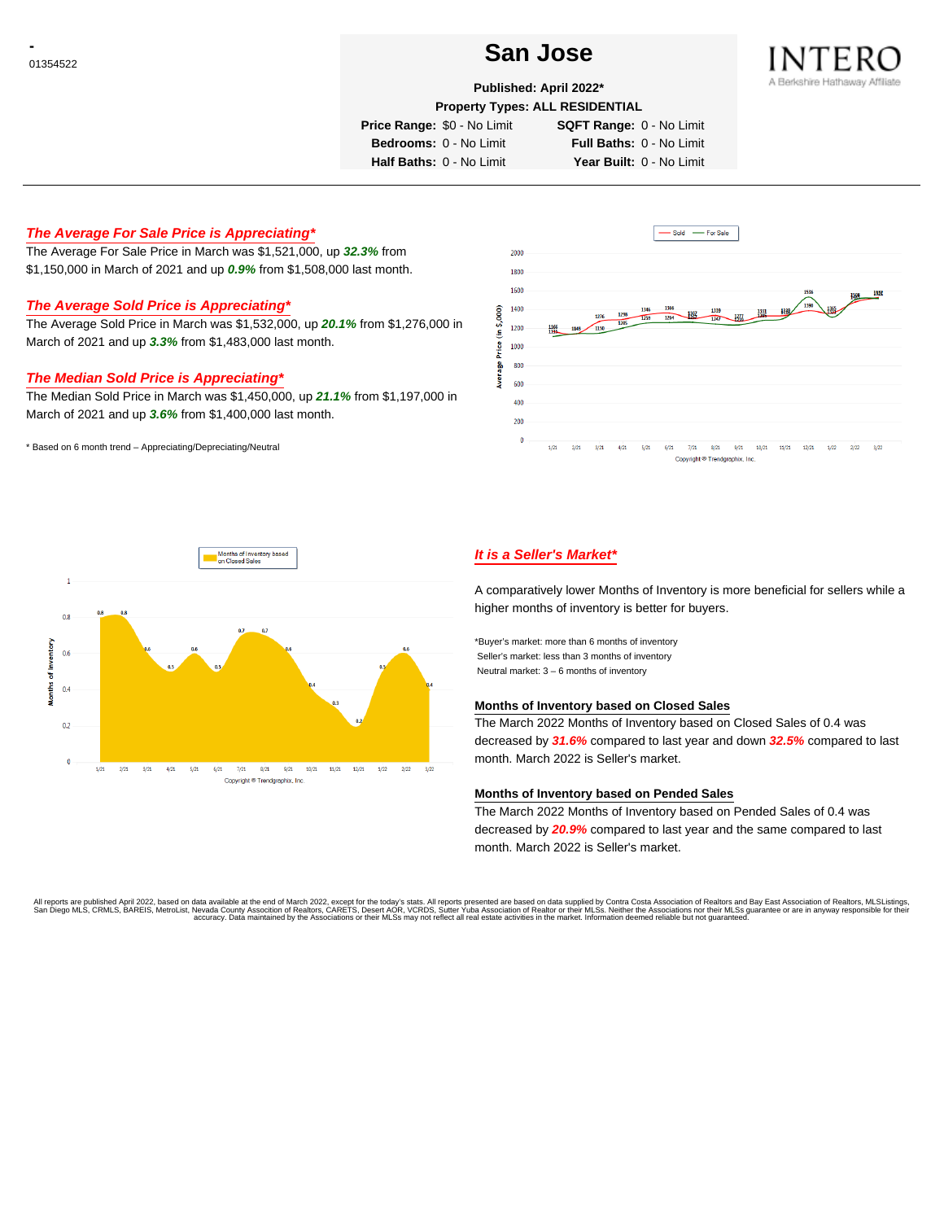# **CONSTRUCTER SAN JOSE** SAN JOSE



## **Published: April 2022\***

**Property Types: ALL RESIDENTIAL**

**Price Range:** \$0 - No Limit **SQFT Range:** 0 - No Limit

**Bedrooms:** 0 - No Limit **Full Baths:** 0 - No Limit **Half Baths:** 0 - No Limit **Year Built:** 0 - No Limit

## **The Average For Sale Price is Appreciating\***

The Average For Sale Price in March was \$1,521,000, up **32.3%** from \$1,150,000 in March of 2021 and up **0.9%** from \$1,508,000 last month.

# **The Average Sold Price is Appreciating\***

The Average Sold Price in March was \$1,532,000, up **20.1%** from \$1,276,000 in March of 2021 and up **3.3%** from \$1,483,000 last month.

#### **The Median Sold Price is Appreciating\***

The Median Sold Price in March was \$1,450,000, up **21.1%** from \$1,197,000 in March of 2021 and up **3.6%** from \$1,400,000 last month.

\* Based on 6 month trend – Appreciating/Depreciating/Neutral





# **It is a Seller's Market\***

A comparatively lower Months of Inventory is more beneficial for sellers while a higher months of inventory is better for buyers.

\*Buyer's market: more than 6 months of inventory Seller's market: less than 3 months of inventory Neutral market: 3 – 6 months of inventory

## **Months of Inventory based on Closed Sales**

The March 2022 Months of Inventory based on Closed Sales of 0.4 was decreased by **31.6%** compared to last year and down **32.5%** compared to last month. March 2022 is Seller's market.

#### **Months of Inventory based on Pended Sales**

The March 2022 Months of Inventory based on Pended Sales of 0.4 was decreased by **20.9%** compared to last year and the same compared to last month. March 2022 is Seller's market.